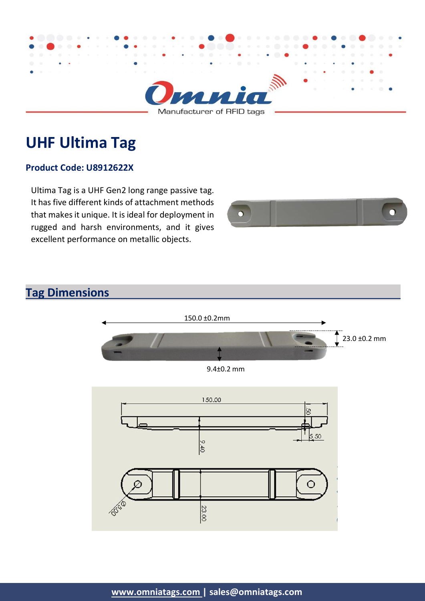

# **UHF Ultima Tag**

#### **Product Code: U8912622X**

Ultima Tag is a UHF Gen2 long range passive tag. It has five different kinds of attachment methods that makesit unique. It is ideal for deployment in rugged and harsh environments, and it gives excellent performance on metallic objects.



#### **Tag Dimensions**



9.4±0.2 mm

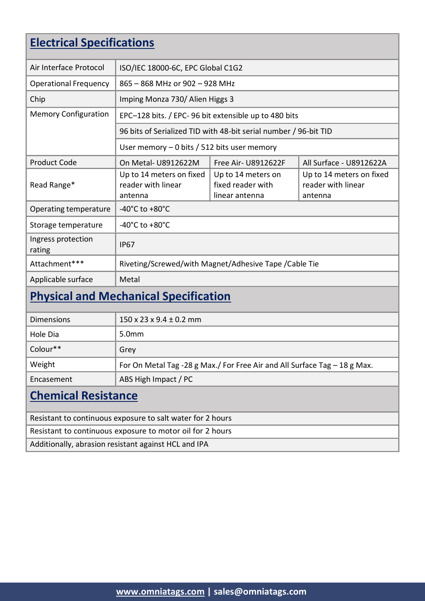### **Electrical Specifications**

| Air Interface Protocol       | ISO/IEC 18000-6C, EPC Global C1G2                                |                                                           |                                                           |  |  |
|------------------------------|------------------------------------------------------------------|-----------------------------------------------------------|-----------------------------------------------------------|--|--|
| <b>Operational Frequency</b> | 865 - 868 MHz or 902 - 928 MHz                                   |                                                           |                                                           |  |  |
| Chip                         | Imping Monza 730/ Alien Higgs 3                                  |                                                           |                                                           |  |  |
| <b>Memory Configuration</b>  | EPC-128 bits. / EPC-96 bit extensible up to 480 bits             |                                                           |                                                           |  |  |
|                              | 96 bits of Serialized TID with 48-bit serial number / 96-bit TID |                                                           |                                                           |  |  |
|                              | User memory $-0$ bits / 512 bits user memory                     |                                                           |                                                           |  |  |
| <b>Product Code</b>          | On Metal-U8912622M                                               | <b>Free Air- U8912622F</b>                                | All Surface - U8912622A                                   |  |  |
| Read Range*                  | Up to 14 meters on fixed<br>reader with linear<br>antenna        | Up to 14 meters on<br>fixed reader with<br>linear antenna | Up to 14 meters on fixed<br>reader with linear<br>antenna |  |  |
| Operating temperature        | -40 $^{\circ}$ C to +80 $^{\circ}$ C                             |                                                           |                                                           |  |  |
| Storage temperature          | -40 $^{\circ}$ C to +80 $^{\circ}$ C                             |                                                           |                                                           |  |  |
| Ingress protection<br>rating | <b>IP67</b>                                                      |                                                           |                                                           |  |  |
| Attachment***                | Riveting/Screwed/with Magnet/Adhesive Tape / Cable Tie           |                                                           |                                                           |  |  |
| Applicable surface           | Metal                                                            |                                                           |                                                           |  |  |

# **Physical and Mechanical Specification**

| <b>Dimensions</b> | $150 \times 23 \times 9.4 \pm 0.2$ mm                                     |
|-------------------|---------------------------------------------------------------------------|
| Hole Dia          | 5.0 <sub>mm</sub>                                                         |
| Colour**          | Grey                                                                      |
| Weight            | For On Metal Tag -28 g Max./ For Free Air and All Surface Tag - 18 g Max. |
| Encasement        | ABS High Impact / PC                                                      |

#### **Chemical Resistance**

Resistant to continuous exposure to salt water for 2 hours

Resistant to continuous exposure to motor oil for 2 hours

Additionally, abrasion resistant against HCL and IPA